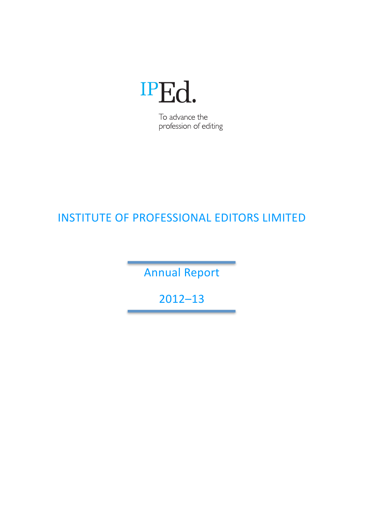

To advance the profession of editing

# INSTITUTE OF PROFESSIONAL EDITORS LIMITED

**Annual Report** 

2012–13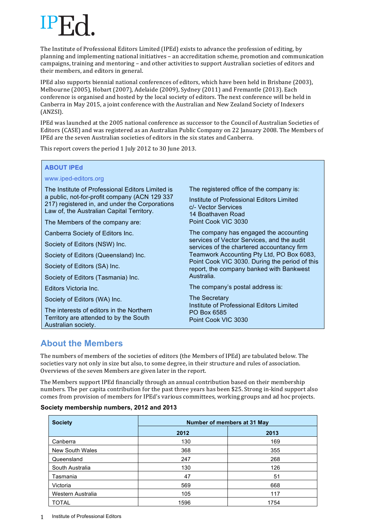The Institute of Professional Editors Limited (IPEd) exists to advance the profession of editing, by planning and implementing national initiatives – an accreditation scheme, promotion and communication campaigns, training and mentoring – and other activities to support Australian societies of editors and their members, and editors in general.

IPEd also supports biennial national conferences of editors, which have been held in Brisbane (2003), Melbourne (2005), Hobart (2007), Adelaide (2009), Sydney (2011) and Fremantle (2013). Each conference is organised and hosted by the local society of editors. The next conference will be held in Canberra in May 2015, a joint conference with the Australian and New Zealand Society of Indexers (ANZSI). 

IPEd was launched at the 2005 national conference as successor to the Council of Australian Societies of Editors (CASE) and was registered as an Australian Public Company on 22 January 2008. The Members of IPEd are the seven Australian societies of editors in the six states and Canberra.

This report covers the period 1 July 2012 to 30 June 2013.

### **ABOUT IPEd**

### www.iped-editors.org

The Institute of Professional Editors Limited is a public, not-for-profit company (ACN 129 337 217) registered in, and under the Corporations Law of, the Australian Capital Territory.

The Members of the company are:

Canberra Society of Editors Inc.

Society of Editors (NSW) Inc.

Society of Editors (Queensland) Inc.

Society of Editors (SA) Inc.

Society of Editors (Tasmania) Inc.

Editors Victoria Inc.

Society of Editors (WA) Inc.

The interests of editors in the Northern Territory are attended to by the South Australian society.

The registered office of the company is:

Institute of Professional Editors Limited c/- Vector Services 14 Boathaven Road Point Cook VIC 3030

The company has engaged the accounting services of Vector Services, and the audit services of the chartered accountancy firm Teamwork Accounting Pty Ltd, PO Box 6083, Point Cook VIC 3030. During the period of this report, the company banked with Bankwest Australia.

The company's postal address is:

The Secretary Institute of Professional Editors Limited PO Box 6585 Point Cook VIC 3030

# **About the Members**

The numbers of members of the societies of editors (the Members of IPEd) are tabulated below. The societies vary not only in size but also, to some degree, in their structure and rules of association. Overviews of the seven Members are given later in the report.

The Members support IPEd financially through an annual contribution based on their membership numbers. The per capita contribution for the past three years has been \$25. Strong in-kind support also comes from provision of members for IPEd's various committees, working groups and ad hoc projects.

### **Society membership numbers, 2012 and 2013**

| <b>Society</b>    | Number of members at 31 May |      |
|-------------------|-----------------------------|------|
|                   | 2012                        | 2013 |
| Canberra          | 130                         | 169  |
| New South Wales   | 368                         | 355  |
| Queensland        | 247                         | 268  |
| South Australia   | 130                         | 126  |
| Tasmania          | 47                          | 51   |
| Victoria          | 569                         | 668  |
| Western Australia | 105                         | 117  |
| <b>TOTAL</b>      | 1596                        | 1754 |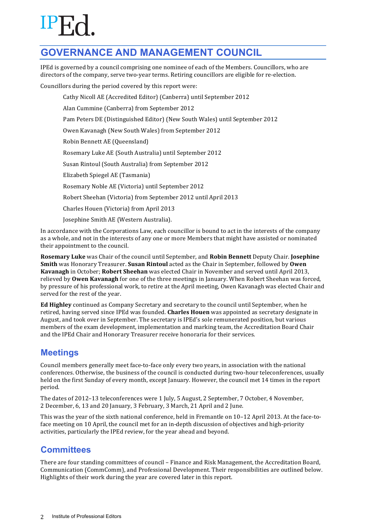# **GOVERNANCE AND MANAGEMENT COUNCIL**

IPEd is governed by a council comprising one nominee of each of the Members. Councillors, who are directors of the company, serve two-year terms. Retiring councillors are eligible for re-election.

Councillors during the period covered by this report were:

Cathy Nicoll AE (Accredited Editor) (Canberra) until September 2012

Alan Cummine (Canberra) from September 2012

Pam Peters DE (Distinguished Editor) (New South Wales) until September 2012

Owen Kavanagh (New South Wales) from September 2012

Robin Bennett AE (Queensland)

Rosemary Luke AE (South Australia) until September 2012

Susan Rintoul (South Australia) from September 2012

Elizabeth Spiegel AE (Tasmania)

Rosemary Noble AE (Victoria) until September 2012

Robert Sheehan (Victoria) from September 2012 until April 2013

Charles Houen (Victoria) from April 2013

Josephine Smith AE (Western Australia).

In accordance with the Corporations Law, each councillor is bound to act in the interests of the company as a whole, and not in the interests of any one or more Members that might have assisted or nominated their appointment to the council.

**Rosemary Luke** was Chair of the council until September, and **Robin Bennett** Deputy Chair. **Josephine Smith** was Honorary Treasurer. **Susan Rintoul** acted as the Chair in September, followed by **Owen Kavanagh** in October; **Robert Sheehan** was elected Chair in November and served until April 2013, relieved by **Owen Kavanagh** for one of the three meetings in January. When Robert Sheehan was forced, by pressure of his professional work, to retire at the April meeting, Owen Kavanagh was elected Chair and served for the rest of the year.

**Ed Highley** continued as Company Secretary and secretary to the council until September, when he retired, having served since IPEd was founded. **Charles Houen** was appointed as secretary designate in August, and took over in September. The secretary is IPEd's sole remunerated position, but various members of the exam development, implementation and marking team, the Accreditation Board Chair and the IPEd Chair and Honorary Treasurer receive honoraria for their services.

# **Meetings**

Council members generally meet face-to-face only every two years, in association with the national conferences. Otherwise, the business of the council is conducted during two-hour teleconferences, usually held on the first Sunday of every month, except Ianuary. However, the council met 14 times in the report period.

The dates of 2012–13 teleconferences were 1 July, 5 August, 2 September, 7 October, 4 November, 2 December, 6, 13 and 20 January, 3 February, 3 March, 21 April and 2 June.

This was the year of the sixth national conference, held in Fremantle on  $10-12$  April 2013. At the face-toface meeting on 10 April, the council met for an in-depth discussion of objectives and high-priority activities, particularly the IPEd review, for the year ahead and beyond.

# **Committees**

There are four standing committees of council – Finance and Risk Management, the Accreditation Board, Communication (CommComm), and Professional Development. Their responsibilities are outlined below. Highlights of their work during the year are covered later in this report.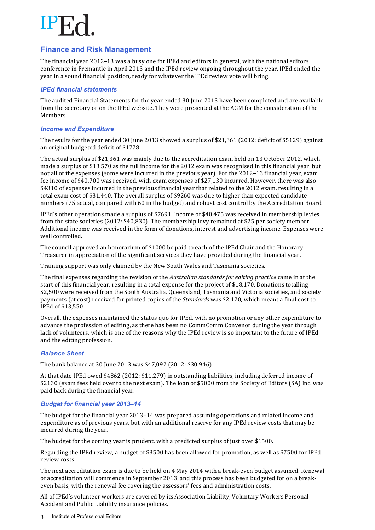### **Finance and Risk Management**

The financial year  $2012-13$  was a busy one for IPEd and editors in general, with the national editors conference in Fremantle in April 2013 and the IPEd review ongoing throughout the year. IPEd ended the year in a sound financial position, ready for whatever the IPEd review vote will bring.

### *IPEd financial statements*

The audited Financial Statements for the vear ended 30 June 2013 have been completed and are available from the secretary or on the IPEd website. They were presented at the AGM for the consideration of the Members.

### *Income and Expenditure*

The results for the year ended 30 June 2013 showed a surplus of \$21,361 (2012: deficit of \$5129) against an original budgeted deficit of \$1778.

The actual surplus of \$21,361 was mainly due to the accreditation exam held on 13 October 2012, which made a surplus of \$13,570 as the full income for the 2012 exam was recognised in this financial vear, but not all of the expenses (some were incurred in the previous year). For the 2012–13 financial year, exam fee income of \$40,700 was received, with exam expenses of \$27,130 incurred. However, there was also \$4310 of expenses incurred in the previous financial year that related to the 2012 exam, resulting in a total exam cost of \$31,440. The overall surplus of \$9260 was due to higher than expected candidate numbers (75 actual, compared with 60 in the budget) and robust cost control by the Accreditation Board.

IPEd's other operations made a surplus of \$7691. Income of \$40,475 was received in membership levies from the state societies  $(2012: $40,830)$ . The membership levy remained at \$25 per society member. Additional income was received in the form of donations, interest and advertising income. Expenses were well controlled.

The council approved an honorarium of \$1000 be paid to each of the IPEd Chair and the Honorary Treasurer in appreciation of the significant services they have provided during the financial year.

Training support was only claimed by the New South Wales and Tasmania societies.

The final expenses regarding the revision of the *Australian standards for editing practice* came in at the start of this financial year, resulting in a total expense for the project of \$18,170. Donations totalling \$2,500 were received from the South Australia, Queensland, Tasmania and Victoria societies, and society payments (at cost) received for printed copies of the *Standards* was \$2,120, which meant a final cost to IPEd of \$13,550.

Overall, the expenses maintained the status quo for IPEd, with no promotion or any other expenditure to advance the profession of editing, as there has been no CommComm Convenor during the year through lack of volunteers, which is one of the reasons why the IPEd review is so important to the future of IPEd and the editing profession.

### *Balance Sheet*

The bank balance at 30 June 2013 was \$47,092 (2012: \$30,946).

At that date IPEd owed \$4862 (2012: \$11,279) in outstanding liabilities, including deferred income of \$2130 (exam fees held over to the next exam). The loan of \$5000 from the Society of Editors (SA) Inc. was paid back during the financial year.

### *Budget for financial year 2013–14*

The budget for the financial year 2013–14 was prepared assuming operations and related income and expenditure as of previous years, but with an additional reserve for any IPEd review costs that may be incurred during the year.

The budget for the coming year is prudent, with a predicted surplus of just over \$1500.

Regarding the IPEd review, a budget of \$3500 has been allowed for promotion, as well as \$7500 for IPEd review costs.

The next accreditation exam is due to be held on 4 May 2014 with a break-even budget assumed. Renewal of accreditation will commence in September 2013, and this process has been budgeted for on a breakeven basis, with the renewal fee covering the assessors' fees and administration costs.

All of IPEd's volunteer workers are covered by its Association Liability, Voluntary Workers Personal Accident and Public Liability insurance policies.

3 Institute of Professional Editors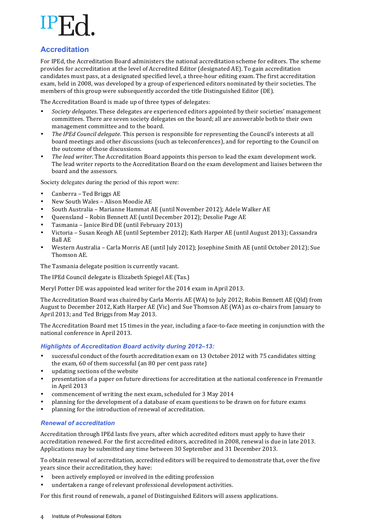## **Accreditation**

For IPEd, the Accreditation Board administers the national accreditation scheme for editors. The scheme provides for accreditation at the level of Accredited Editor (designated AE). To gain accreditation candidates must pass, at a designated specified level, a three-hour editing exam. The first accreditation exam, held in 2008, was developed by a group of experienced editors nominated by their societies. The members of this group were subsequently accorded the title Distinguished Editor (DE).

The Accreditation Board is made up of three types of delegates:

- Society delegates. These delegates are experienced editors appointed by their societies' management committees. There are seven society delegates on the board; all are answerable both to their own management committee and to the board.
- *The IPEd Council delegate*. This person is responsible for representing the Council's interests at all board meetings and other discussions (such as teleconferences), and for reporting to the Council on the outcome of those discussions.
- The lead writer. The Accreditation Board appoints this person to lead the exam development work. The lead writer reports to the Accreditation Board on the exam development and liaises between the board and the assessors.

Society delegates during the period of this report were:

- Canberra Ted Briggs AE
- New South Wales Alison Moodie AE
- South Australia Marianne Hammat AE (until November 2012); Adele Walker AE
- Queensland Robin Bennett AE (until December 2012); Desolie Page AE
- Tasmania Janice Bird DE (until February 2013)
- Victoria Susan Keogh AE (until September 2012); Kath Harper AE (until August 2013); Cassandra Ball AE
- Western Australia Carla Morris AE (until July 2012); Josephine Smith AE (until October 2012); Sue Thomson AE.

The Tasmania delegate position is currently vacant.

The IPEd Council delegate is Elizabeth Spiegel AE (Tas.)

Meryl Potter DE was appointed lead writer for the 2014 exam in April 2013.

The Accreditation Board was chaired by Carla Morris AE (WA) to July 2012; Robin Bennett AE (Qld) from August to December 2012, Kath Harper AE (Vic) and Sue Thomson AE (WA) as co-chairs from January to April 2013; and Ted Briggs from May 2013.

The Accreditation Board met 15 times in the year, including a face-to-face meeting in conjunction with the national conference in April 2013.

### *Highlights of Accreditation Board activity during 2012–13:*

- successful conduct of the fourth accreditation exam on 13 October 2012 with 75 candidates sitting the exam, 60 of them successful (an 80 per cent pass rate)
- updating sections of the website
- presentation of a paper on future directions for accreditation at the national conference in Fremantle in April 2013
- commencement of writing the next exam, scheduled for 3 May 2014
- planning for the development of a database of exam questions to be drawn on for future exams
- planning for the introduction of renewal of accreditation.

### *Renewal of accreditation*

Accreditation through IPEd lasts five years, after which accredited editors must apply to have their accreditation renewed. For the first accredited editors, accredited in 2008, renewal is due in late 2013. Applications may be submitted any time between 30 September and 31 December 2013.

To obtain renewal of accreditation, accredited editors will be required to demonstrate that, over the five years since their accreditation, they have:

- been actively employed or involved in the editing profession
- undertaken a range of relevant professional development activities.

For this first round of renewals, a panel of Distinguished Editors will assess applications.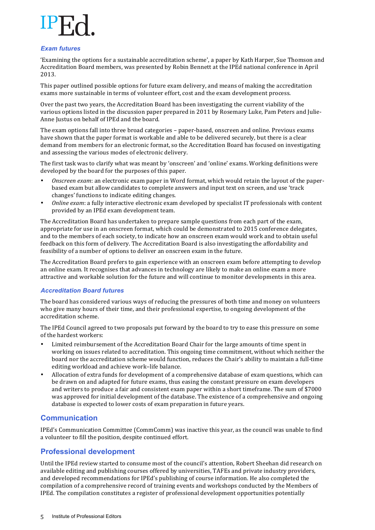### *Exam futures*

'Examining the options for a sustainable accreditation scheme', a paper by Kath Harper, Sue Thomson and Accreditation Board members, was presented by Robin Bennett at the IPEd national conference in April 2013.

This paper outlined possible options for future exam delivery, and means of making the accreditation exams more sustainable in terms of volunteer effort, cost and the exam development process.

Over the past two vears, the Accreditation Board has been investigating the current viability of the various options listed in the discussion paper prepared in 2011 by Rosemary Luke, Pam Peters and Julie-Anne Justus on behalf of IPEd and the board.

The exam options fall into three broad categories – paper-based, onscreen and online. Previous exams have shown that the paper format is workable and able to be delivered securely, but there is a clear demand from members for an electronic format, so the Accreditation Board has focused on investigating and assessing the various modes of electronic delivery.

The first task was to clarify what was meant by 'onscreen' and 'online' exams. Working definitions were developed by the board for the purposes of this paper.

- *Onscreen exam*: an electronic exam paper in Word format, which would retain the layout of the paperbased exam but allow candidates to complete answers and input text on screen, and use 'track changes' functions to indicate editing changes.
- *Online exam*: a fully interactive electronic exam developed by specialist IT professionals with content provided by an IPEd exam development team.

The Accreditation Board has undertaken to prepare sample questions from each part of the exam, appropriate for use in an onscreen format, which could be demonstrated to 2015 conference delegates, and to the members of each society, to indicate how an onscreen exam would work and to obtain useful feedback on this form of delivery. The Accreditation Board is also investigating the affordability and feasibility of a number of options to deliver an onscreen exam in the future.

The Accreditation Board prefers to gain experience with an onscreen exam before attempting to develop an online exam. It recognises that advances in technology are likely to make an online exam a more attractive and workable solution for the future and will continue to monitor developments in this area.

### *Accreditation Board futures*

The board has considered various ways of reducing the pressures of both time and money on volunteers who give many hours of their time, and their professional expertise, to ongoing development of the accreditation scheme. 

The IPEd Council agreed to two proposals put forward by the board to try to ease this pressure on some of the hardest workers:

- Limited reimbursement of the Accreditation Board Chair for the large amounts of time spent in working on issues related to accreditation. This ongoing time commitment, without which neither the board nor the accreditation scheme would function, reduces the Chair's ability to maintain a full-time editing workload and achieve work-life balance.
- Allocation of extra funds for development of a comprehensive database of exam questions, which can be drawn on and adapted for future exams, thus easing the constant pressure on exam developers and writers to produce a fair and consistent exam paper within a short timeframe. The sum of \$7000 was approved for initial development of the database. The existence of a comprehensive and ongoing database is expected to lower costs of exam preparation in future years.

## **Communication**

IPEd's Communication Committee (CommComm) was inactive this year, as the council was unable to find a volunteer to fill the position, despite continued effort.

## **Professional development**

Until the IPEd review started to consume most of the council's attention, Robert Sheehan did research on available editing and publishing courses offered by universities, TAFEs and private industry providers, and developed recommendations for IPEd's publishing of course information. He also completed the compilation of a comprehensive record of training events and workshops conducted by the Members of IPEd. The compilation constitutes a register of professional development opportunities potentially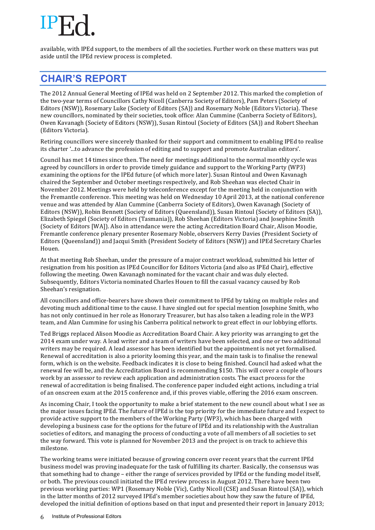available, with IPEd support, to the members of all the societies. Further work on these matters was put aside until the IPEd review process is completed.

# **CHAIR'S REPORT**

The 2012 Annual General Meeting of IPEd was held on 2 September 2012. This marked the completion of the two-year terms of Councillors Cathy Nicoll (Canberra Society of Editors), Pam Peters (Society of Editors (NSW)), Rosemary Luke (Society of Editors (SA)) and Rosemary Noble (Editors Victoria). These new councillors, nominated by their societies, took office: Alan Cummine (Canberra Society of Editors), Owen Kavanagh (Society of Editors (NSW)), Susan Rintoul (Society of Editors (SA)) and Robert Sheehan (Editors Victoria).

Retiring councillors were sincerely thanked for their support and commitment to enabling IPEd to realise its charter '...to advance the profession of editing and to support and promote Australian editors'.

Council has met 14 times since then. The need for meetings additional to the normal monthly cycle was agreed by councillors in order to provide timely guidance and support to the Working Party (WP3) examining the options for the IPEd future (of which more later). Susan Rintoul and Owen Kavanagh chaired the September and October meetings respectively, and Rob Sheehan was elected Chair in November 2012. Meetings were held by teleconference except for the meeting held in conjunction with the Fremantle conference. This meeting was held on Wednesday 10 April 2013, at the national conference venue and was attended by Alan Cummine (Canberra Society of Editors), Owen Kavanagh (Society of Editors (NSW)), Robin Bennett (Society of Editors (Queensland)), Susan Rintoul (Society of Editors (SA)), Elizabeth Spiegel (Society of Editors (Tasmania)), Rob Sheehan (Editors Victoria) and Josephine Smith (Society of Editors [WA]). Also in attendance were the acting Accreditation Board Chair, Alison Moodie, Fremantle conference plenary presenter Rosemary Noble, observers Kerry Davies (President Society of Editors (Queensland)) and Jacqui Smith (President Society of Editors (NSW)) and IPEd Secretary Charles Houen.

At that meeting Rob Sheehan, under the pressure of a major contract workload, submitted his letter of resignation from his position as IPEd Councillor for Editors Victoria (and also as IPEd Chair), effective following the meeting. Owen Kavanagh nominated for the vacant chair and was duly elected. Subsequently, Editors Victoria nominated Charles Houen to fill the casual vacancy caused by Rob Sheehan's resignation.

All councillors and office-bearers have shown their commitment to IPEd by taking on multiple roles and devoting much additional time to the cause. I have singled out for special mention Iosephine Smith, who has not only continued in her role as Honorary Treasurer, but has also taken a leading role in the WP3 team, and Alan Cummine for using his Canberra political network to great effect in our lobbying efforts.

Ted Briggs replaced Alison Moodie as Accreditation Board Chair. A key priority was arranging to get the 2014 exam under way. A lead writer and a team of writers have been selected, and one or two additional writers may be required. A lead assessor has been identified but the appointment is not vet formalised. Renewal of accreditation is also a priority looming this year, and the main task is to finalise the renewal form, which is on the website. Feedback indicates it is close to being finished. Council had asked what the renewal fee will be, and the Accreditation Board is recommending \$150. This will cover a couple of hours work by an assessor to review each application and administration costs. The exact process for the renewal of accreditation is being finalised. The conference paper included eight actions, including a trial of an onscreen exam at the 2015 conference and, if this proves viable, offering the 2016 exam onscreen.

As incoming Chair, I took the opportunity to make a brief statement to the new council about what I see as the major issues facing IPEd. The future of IPEd is the top priority for the immediate future and I expect to provide active support to the members of the Working Party (WP3), which has been charged with developing a business case for the options for the future of IPEd and its relationship with the Australian societies of editors, and managing the process of conducting a vote of all members of all societies to set the way forward. This vote is planned for November 2013 and the project is on track to achieve this milestone.

The working teams were initiated because of growing concern over recent vears that the current IPEd business model was proving inadequate for the task of fulfilling its charter. Basically, the consensus was that something had to change – either the range of services provided by IPEd or the funding model itself, or both. The previous council initiated the IPEd review process in August 2012. There have been two previous working parties: WP1 (Rosemary Noble (Vic), Cathy Nicoll (CSE) and Susan Rintoul (SA)), which in the latter months of 2012 surveyed IPEd's member societies about how they saw the future of IPEd, developed the initial definition of options based on that input and presented their report in January 2013;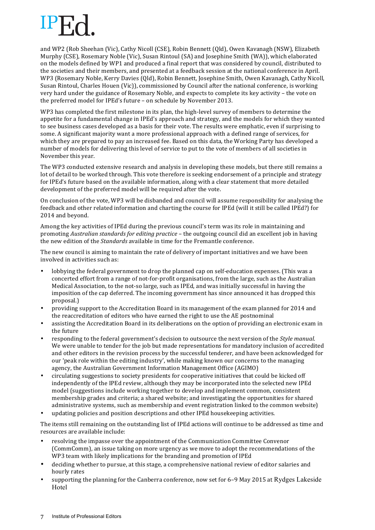and WP2 (Rob Sheehan (Vic), Cathy Nicoll (CSE), Robin Bennett (Qld), Owen Kavanagh (NSW), Elizabeth Murphy (CSE), Rosemary Noble (Vic), Susan Rintoul (SA) and Josephine Smith (WA)), which elaborated on the models defined by WP1 and produced a final report that was considered by council, distributed to the societies and their members, and presented at a feedback session at the national conference in April. WP3 (Rosemary Noble, Kerry Davies (Qld), Robin Bennett, Josephine Smith, Owen Kavanagh, Cathy Nicoll, Susan Rintoul, Charles Houen (Vic)), commissioned by Council after the national conference, is working very hard under the guidance of Rosemary Noble, and expects to complete its key activity – the vote on the preferred model for IPEd's future – on schedule by November 2013.

WP3 has completed the first milestone in its plan, the high-level survey of members to determine the appetite for a fundamental change in IPEd's approach and strategy, and the models for which they wanted to see business cases developed as a basis for their vote. The results were emphatic, even if surprising to some. A significant majority want a more professional approach with a defined range of services, for which they are prepared to pay an increased fee. Based on this data, the Working Party has developed a number of models for delivering this level of service to put to the vote of members of all societies in November this year.

The WP3 conducted extensive research and analysis in developing these models, but there still remains a lot of detail to be worked through. This vote therefore is seeking endorsement of a principle and strategy for IPEd's future based on the available information, along with a clear statement that more detailed development of the preferred model will be required after the vote.

On conclusion of the vote, WP3 will be disbanded and council will assume responsibility for analysing the feedback and other related information and charting the course for IPEd (will it still be called IPEd?) for 2014 and beyond.

Among the key activities of IPEd during the previous council's term was its role in maintaining and promoting *Australian standards for editing practice* – the outgoing council did an excellent job in having the new edition of the *Standards* available in time for the Fremantle conference.

The new council is aiming to maintain the rate of delivery of important initiatives and we have been involved in activities such as:

- lobbying the federal government to drop the planned cap on self-education expenses. (This was a concerted effort from a range of not-for-profit organisations, from the large, such as the Australian Medical Association, to the not-so large, such as IPEd, and was initially successful in having the imposition of the cap deferred. The incoming government has since announced it has dropped this proposal.)
- providing support to the Accreditation Board in its management of the exam planned for 2014 and the reaccreditation of editors who have earned the right to use the AE postnominal
- assisting the Accreditation Board in its deliberations on the option of providing an electronic exam in the future
- responding to the federal government's decision to outsource the next version of the *Style manual*. We were unable to tender for the job but made representations for mandatory inclusion of accredited and other editors in the revision process by the successful tenderer, and have been acknowledged for our 'peak role within the editing industry', while making known our concerns to the managing agency, the Australian Government Information Management Office (AGIMO)
- circulating suggestions to society presidents for cooperative initiatives that could be kicked off independently of the IPEd review, although they may be incorporated into the selected new IPEd model (suggestions include working together to develop and implement common, consistent membership grades and criteria; a shared website; and investigating the opportunities for shared administrative systems, such as membership and event registration linked to the common website)
- updating policies and position descriptions and other IPEd housekeeping activities.

The items still remaining on the outstanding list of IPEd actions will continue to be addressed as time and resources are available include:

- resolving the impasse over the appointment of the Communication Committee Convenor (CommComm), an issue taking on more urgency as we move to adopt the recommendations of the WP3 team with likely implications for the branding and promotion of IPEd
- deciding whether to pursue, at this stage, a comprehensive national review of editor salaries and hourly rates
- supporting the planning for the Canberra conference, now set for 6–9 May 2015 at Rydges Lakeside Hotel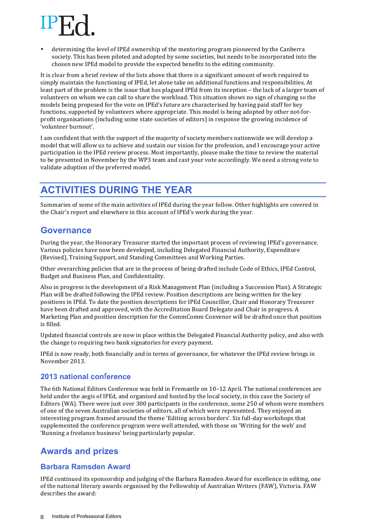determining the level of IPEd ownership of the mentoring program pioneered by the Canberra society. This has been piloted and adopted by some societies, but needs to be incorporated into the chosen new IPEd model to provide the expected benefits to the editing community.

It is clear from a brief review of the lists above that there is a significant amount of work required to simply maintain the functioning of IPEd, let alone take on additional functions and responsibilities. At least part of the problem is the issue that has plagued IPEd from its inception – the lack of a larger team of volunteers on whom we can call to share the workload. This situation shows no sign of changing so the models being proposed for the vote on IPEd's future are characterised by having paid staff for key functions, supported by volunteers where appropriate. This model is being adopted by other not-forprofit organisations (including some state societies of editors) in response the growing incidence of 'volunteer burnout'.

I am confident that with the support of the majority of society members nationwide we will develop a model that will allow us to achieve and sustain our vision for the profession, and I encourage your active participation in the IPEd review process. Most importantly, please make the time to review the material to be presented in November by the WP3 team and cast your vote accordingly. We need a strong vote to validate adoption of the preferred model.

# **ACTIVITIES DURING THE YEAR**

Summaries of some of the main activities of IPEd during the year follow. Other highlights are covered in the Chair's report and elsewhere in this account of IPEd's work during the year.

# **Governance**

During the year, the Honorary Treasurer started the important process of reviewing IPEd's governance. Various policies have now been developed, including Delegated Financial Authority, Expenditure (Revised), Training Support, and Standing Committees and Working Parties.

Other overarching policies that are in the process of being drafted include Code of Ethics, IPEd Control, Budget and Business Plan, and Confidentiality.

Also in progress is the development of a Risk Management Plan (including a Succession Plan). A Strategic Plan will be drafted following the IPEd review. Position descriptions are being written for the key positions in IPEd. To date the position descriptions for IPEd Councillor, Chair and Honorary Treasurer have been drafted and approved, with the Accreditation Board Delegate and Chair in progress. A Marketing Plan and position description for the CommComm Convenor will be drafted once that position is filled.

Updated financial controls are now in place within the Delegated Financial Authority policy, and also with the change to requiring two bank signatories for every payment.

IPEd is now ready, both financially and in terms of governance, for whatever the IPEd review brings in November 2013.

## **2013 national con**f**erence**

The 6th National Editors Conference was held in Fremantle on 10-12 April. The national conferences are held under the aegis of IPEd, and organised and hosted by the local society, in this case the Society of Editors (WA). There were just over 300 participants in the conference, some 250 of whom were members of one of the seven Australian societies of editors, all of which were represented. They enjoyed an interesting program framed around the theme 'Editing across borders'. Six full-day workshops that supplemented the conference program were well attended, with those on 'Writing for the web' and 'Running a freelance business' being particularly popular.

# **Awards and prizes**

## **Barbara Ramsden Award**

IPEd continued its sponsorship and judging of the Barbara Ramsden Award for excellence in editing, one of the national literary awards organised by the Fellowship of Australian Writers (FAW), Victoria. FAW describes the award: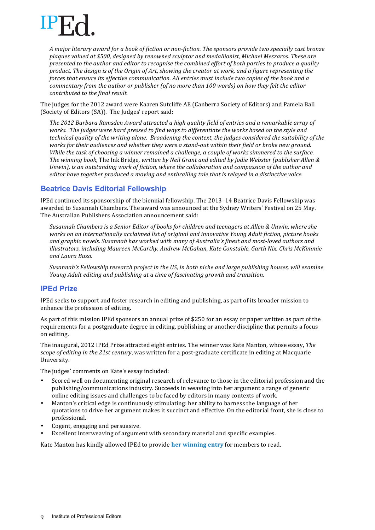

*A major literary award for a book of fiction or non-fiction. The sponsors provide two specially cast bronze*  plaques valued at \$500, designed by renowned sculptor and medallionist, Michael Meszaros. These are *presented to the author and editor to recognise the combined effort of both parties to produce a quality product.* The design is of the Origin of Art, showing the creator at work, and a figure representing the *forces* that ensure its effective communication. All entries must include two copies of the book and a *commentary from the author or publisher (of no more than 100 words)* on how they felt the editor *contributed to the final result.* 

The judges for the 2012 award were Kaaren Sutcliffe AE (Canberra Society of Editors) and Pamela Ball (Society of Editors (SA)). The Judges' report said:

The 2012 Barbara Ramsden Award attracted a high quality field of entries and a remarkable array of works. The judges were hard pressed to find ways to differentiate the works based on the style and *technical quality of the writing alone. Broadening the context, the judges considered the suitability of the* works for their audiences and whether they were a stand-out within their field or broke new ground. *While* the task of choosing a winner remained a challenge, a couple of works simmered to the surface. *The* winning book, The Ink Bridge, written by Neil Grant and edited by Jodie Webster (publisher Allen & Unwin), is an outstanding work of fiction, where the collaboration and compassion of the author and *editor* have together produced a moving and enthralling tale that is relayed in a distinctive voice.

### **Beatrice Davis Editorial Fellowship**

IPEd continued its sponsorship of the biennial fellowship. The 2013–14 Beatrice Davis Fellowship was awarded to Susannah Chambers. The award was announced at the Sydney Writers' Festival on 25 May. The Australian Publishers Association announcement said:

Susannah Chambers is a Senior Editor of books for children and teenagers at Allen & Unwin, where she *works* on an internationally acclaimed list of original and innovative Young Adult fiction, picture books and graphic novels. Susannah has worked with many of Australia's finest and most-loved authors and *illustrators, including Maureen McCarthy, Andrew McGahan, Kate Constable, Garth Nix, Chris McKimmie and Laura Buzo.* 

*Susannah's Fellowship research project in the US, in both niche and large publishing houses, will examine Young Adult editing and publishing at a time of fascinating growth and transition.* 

## **IPEd Prize**

IPEd seeks to support and foster research in editing and publishing, as part of its broader mission to enhance the profession of editing.

As part of this mission IPEd sponsors an annual prize of \$250 for an essay or paper written as part of the requirements for a postgraduate degree in editing, publishing or another discipline that permits a focus on editing.

The inaugural, 2012 IPEd Prize attracted eight entries. The winner was Kate Manton, whose essay, The *scope of editing in the 21st century*, was written for a post-graduate certificate in editing at Macquarie University.

The judges' comments on Kate's essay included:

- Scored well on documenting original research of relevance to those in the editorial profession and the publishing/communications industry. Succeeds in weaving into her argument a range of generic online editing issues and challenges to be faced by editors in many contexts of work.
- Manton's critical edge is continuously stimulating: her ability to harness the language of her quotations to drive her argument makes it succinct and effective. On the editorial front, she is close to professional.
- Cogent, engaging and persuasive.
- Excellent interweaving of argument with secondary material and specific examples.

Kate Manton has kindly allowed IPEd to provide **her winning entry** for members to read.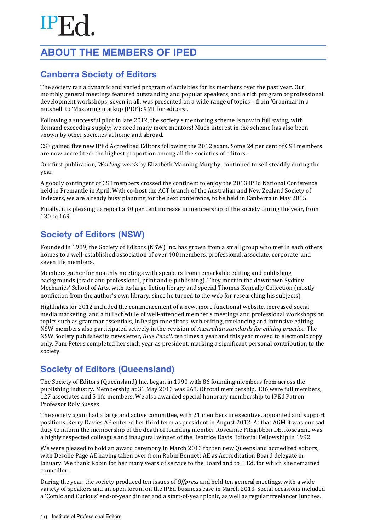# **ABOUT THE MEMBERS OF IPED**

# **Canberra Society of Editors**

The society ran a dynamic and varied program of activities for its members over the past year. Our monthly general meetings featured outstanding and popular speakers, and a rich program of professional development workshops, seven in all, was presented on a wide range of topics – from 'Grammar in a nutshell' to 'Mastering markup (PDF): XML for editors'.

Following a successful pilot in late 2012, the society's mentoring scheme is now in full swing, with demand exceeding supply; we need many more mentors! Much interest in the scheme has also been shown by other societies at home and abroad.

CSE gained five new IPEd Accredited Editors following the 2012 exam. Some 24 per cent of CSE members are now accredited: the highest proportion among all the societies of editors.

Our first publication, *Working words* by Elizabeth Manning Murphy, continued to sell steadily during the year.

A goodly contingent of CSE members crossed the continent to enjoy the 2013 IPEd National Conference held in Fremantle in April. With co-host the ACT branch of the Australian and New Zealand Society of Indexers, we are already busy planning for the next conference, to be held in Canberra in May 2015.

Finally, it is pleasing to report a 30 per cent increase in membership of the society during the year, from 130 to 169.

# **Society of Editors (NSW)**

Founded in 1989, the Society of Editors (NSW) Inc. has grown from a small group who met in each others' homes to a well-established association of over 400 members, professional, associate, corporate, and seven life members.

Members gather for monthly meetings with speakers from remarkable editing and publishing backgrounds (trade and professional, print and e-publishing). They meet in the downtown Sydney Mechanics' School of Arts, with its large fiction library and special Thomas Keneally Collection (mostly nonfiction from the author's own library, since he turned to the web for researching his subjects).

Highlights for 2012 included the commencement of a new, more functional website, increased social media marketing, and a full schedule of well-attended member's meetings and professional workshops on topics such as grammar essentials. InDesign for editors, web editing, freelancing and intensive editing. NSW members also participated actively in the revision of *Australian standards for editing practice*. The NSW Society publishes its newsletter, *Blue Pencil*, ten times a year and this year moved to electronic copy only. Pam Peters completed her sixth year as president, marking a significant personal contribution to the society.

# **Society of Editors (Queensland)**

The Society of Editors (Queensland) Inc. began in 1990 with 86 founding members from across the publishing industry. Membership at 31 May 2013 was 268. Of total membership, 136 were full members, 127 associates and 5 life members. We also awarded special honorary membership to IPEd Patron Professor Roly Sussex.

The society again had a large and active committee, with 21 members in executive, appointed and support positions. Kerry Davies AE entered her third term as president in August 2012. At that AGM it was our sad duty to inform the membership of the death of founding member Roseanne Fitzgibbon DE. Roseanne was a highly respected colleague and inaugural winner of the Beatrice Davis Editorial Fellowship in 1992.

We were pleased to hold an award ceremony in March 2013 for ten new Queensland accredited editors, with Desolie Page AE having taken over from Robin Bennett AE as Accreditation Board delegate in January. We thank Robin for her many years of service to the Board and to IPEd, for which she remained councillor.

During the year, the society produced ten issues of *Offpress* and held ten general meetings, with a wide variety of speakers and an open forum on the IPEd business case in March 2013. Social occasions included a 'Comic and Curious' end-of-year dinner and a start-of-year picnic, as well as regular freelancer lunches.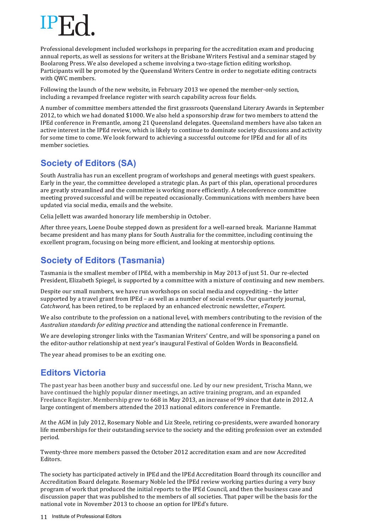Professional development included workshops in preparing for the accreditation exam and producing annual reports, as well as sessions for writers at the Brisbane Writers Festival and a seminar staged by Boolarong Press. We also developed a scheme involving a two-stage fiction editing workshop. Participants will be promoted by the Queensland Writers Centre in order to negotiate editing contracts with QWC members.

Following the launch of the new website, in February 2013 we opened the member-only section, including a revamped freelance register with search capability across four fields.

A number of committee members attended the first grassroots Oueensland Literary Awards in September 2012, to which we had donated \$1000. We also held a sponsorship draw for two members to attend the IPEd conference in Fremantle, among 21 Queensland delegates. Queensland members have also taken an active interest in the IPEd review, which is likely to continue to dominate society discussions and activity for some time to come. We look forward to achieving a successful outcome for IPEd and for all of its member societies.

# **Society of Editors (SA)**

South Australia has run an excellent program of workshops and general meetings with guest speakers. Early in the year, the committee developed a strategic plan. As part of this plan, operational procedures are greatly streamlined and the committee is working more efficiently. A teleconference committee meeting proved successful and will be repeated occasionally. Communications with members have been updated via social media, emails and the website.

Celia Jellett was awarded honorary life membership in October.

After three years, Loene Doube stepped down as president for a well-earned break. Marianne Hammat became president and has many plans for South Australia for the committee, including continuing the excellent program, focusing on being more efficient, and looking at mentorship options.

# **Society of Editors (Tasmania)**

Tasmania is the smallest member of IPEd, with a membership in May 2013 of just 51. Our re-elected President, Elizabeth Spiegel, is supported by a committee with a mixture of continuing and new members.

Despite our small numbers, we have run workshops on social media and copyediting  $-$  the latter supported by a travel grant from IPEd – as well as a number of social events. Our quarterly journal, *Catchword*, has been retired, to be replaced by an enhanced electronic newsletter, *eTexpert*.

We also contribute to the profession on a national level, with members contributing to the revision of the *Australian standards for editing practice* and attending the national conference in Fremantle.

We are developing stronger links with the Tasmanian Writers' Centre, and will be sponsoring a panel on the editor-author relationship at next year's inaugural Festival of Golden Words in Beaconsfield.

The year ahead promises to be an exciting one.

# **Editors Victoria**

The past year has been another busy and successful one. Led by our new president, Trischa Mann, we have continued the highly popular dinner meetings, an active training program, and an expanded Freelance Register. Membership grew to 668 in May 2013, an increase of 99 since that date in 2012. A large contingent of members attended the 2013 national editors conference in Fremantle.

At the AGM in July 2012, Rosemary Noble and Liz Steele, retiring co-presidents, were awarded honorary life memberships for their outstanding service to the society and the editing profession over an extended period.

Twenty-three more members passed the October 2012 accreditation exam and are now Accredited Editors.

The society has participated actively in IPEd and the IPEd Accreditation Board through its councillor and Accreditation Board delegate. Rosemary Noble led the IPEd review working parties during a very busy program of work that produced the initial reports to the IPEd Council, and then the business case and discussion paper that was published to the members of all societies. That paper will be the basis for the national vote in November 2013 to choose an option for IPEd's future.